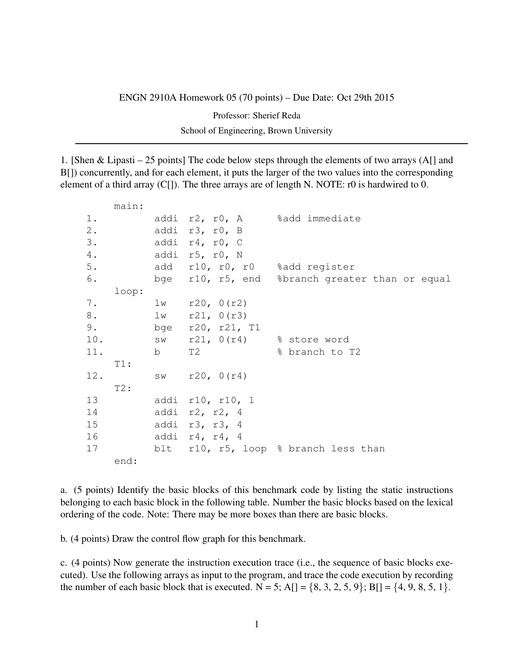## ENGN 2910A Homework 05 (70 points) – Due Date: Oct 29th 2015

Professor: Sherief Reda

School of Engineering, Brown University

1. [Shen & Lipasti – 25 points] The code below steps through the elements of two arrays (A[] and B[]) concurrently, and for each element, it puts the larger of the two values into the corresponding element of a third array (C[]). The three arrays are of length N. NOTE: r0 is hardwired to 0.

|       | main:    |                                |                                                |
|-------|----------|--------------------------------|------------------------------------------------|
| $1$ . |          |                                | addi r2, r0, A %add immediate                  |
| $2$ . |          | addi r3, r0, B                 |                                                |
| 3.    |          | addi r4, r0, C                 |                                                |
| 4.    |          | addi r5, r0, N                 |                                                |
| 5.    |          | add r10, r0, r0 %add register  |                                                |
| 6.    |          |                                | bge r10, r5, end %branch greater than or equal |
|       | loop:    |                                |                                                |
| 7.    |          | $1w$ $r20, 0(r2)$              |                                                |
| $8$ . |          | $lw$ $r21, 0(r3)$              |                                                |
| 9.    |          | bge r20, r21, T1               |                                                |
|       |          | 10. Sw r21, 0(r4) % store word |                                                |
|       | 11. b T2 |                                | % branch to T2                                 |
|       | T1:      |                                |                                                |
| 12.   |          | $sw$ $r20$ , $0(r4)$           |                                                |
|       | $T2$ :   |                                |                                                |
| 13    |          | addi r10, r10, 1               |                                                |
| 14    |          | addi $r2$ , $r2$ , 4           |                                                |
| 15    |          | addi r3, r3, 4                 |                                                |
|       |          | addi r4, r4, 4                 |                                                |
| 17    |          |                                | blt r10, r5, loop % branch less than           |
|       | end:     |                                |                                                |

a. (5 points) Identify the basic blocks of this benchmark code by listing the static instructions belonging to each basic block in the following table. Number the basic blocks based on the lexical ordering of the code. Note: There may be more boxes than there are basic blocks.

b. (4 points) Draw the control flow graph for this benchmark.

c. (4 points) Now generate the instruction execution trace (i.e., the sequence of basic blocks executed). Use the following arrays as input to the program, and trace the code execution by recording the number of each basic block that is executed.  $N = 5$ ;  $A[] = \{8, 3, 2, 5, 9\}$ ;  $B[] = \{4, 9, 8, 5, 1\}$ .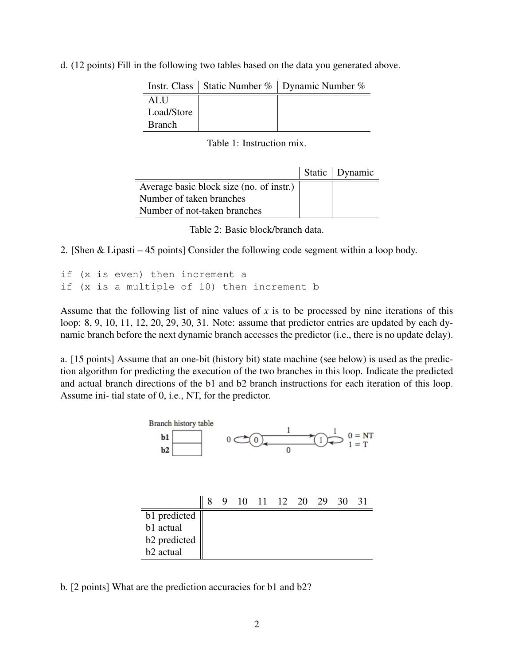d. (12 points) Fill in the following two tables based on the data you generated above.

|               | Instr. Class   Static Number %   Dynamic Number % |
|---------------|---------------------------------------------------|
| ALU           |                                                   |
| Load/Store    |                                                   |
| <b>Branch</b> |                                                   |

Table 1: Instruction mix.

|                                          | Static Dynamic |
|------------------------------------------|----------------|
| Average basic block size (no. of instr.) |                |
| Number of taken branches                 |                |
| Number of not-taken branches             |                |

Table 2: Basic block/branch data.

2. [Shen & Lipasti – 45 points] Consider the following code segment within a loop body.

```
if (x is even) then increment a
if (x is a multiple of 10) then increment b
```
Assume that the following list of nine values of *x* is to be processed by nine iterations of this loop: 8, 9, 10, 11, 12, 20, 29, 30, 31. Note: assume that predictor entries are updated by each dynamic branch before the next dynamic branch accesses the predictor (i.e., there is no update delay).

a. [15 points] Assume that an one-bit (history bit) state machine (see below) is used as the prediction algorithm for predicting the execution of the two branches in this loop. Indicate the predicted and actual branch directions of the b1 and b2 branch instructions for each iteration of this loop. Assume ini- tial state of 0, i.e., NT, for the predictor.



b. [2 points] What are the prediction accuracies for b1 and b2?